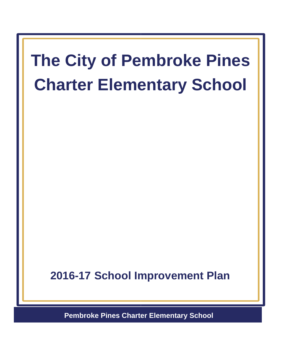# **The City of Pembroke Pines Charter Elementary School**

**2016-17 School Improvement Plan**

**Pembroke Pines Charter Elementary School**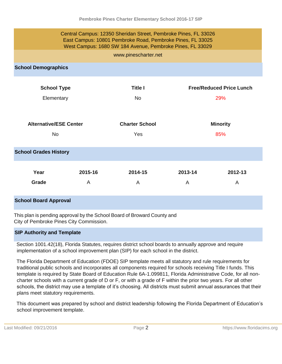| Central Campus: 12350 Sheridan Street, Pembroke Pines, FL 33026<br>East Campus: 10801 Pembroke Road, Pembroke Pines, FL 33025<br>West Campus: 1680 SW 184 Avenue, Pembroke Pines, FL 33029 |              |                              |                        |              |
|--------------------------------------------------------------------------------------------------------------------------------------------------------------------------------------------|--------------|------------------------------|------------------------|--------------|
| www.pinescharter.net                                                                                                                                                                       |              |                              |                        |              |
| <b>School Demographics</b>                                                                                                                                                                 |              |                              |                        |              |
| <b>Title I</b><br><b>Free/Reduced Price Lunch</b><br><b>School Type</b>                                                                                                                    |              |                              |                        |              |
| Elementary                                                                                                                                                                                 |              | <b>No</b>                    | 29%                    |              |
| <b>Alternative/ESE Center</b><br><b>No</b>                                                                                                                                                 |              | <b>Charter School</b><br>Yes | <b>Minority</b><br>85% |              |
| <b>School Grades History</b>                                                                                                                                                               |              |                              |                        |              |
| Year<br>Grade                                                                                                                                                                              | 2015-16<br>A | 2014-15<br>A                 | 2013-14<br>A           | 2012-13<br>A |
| <b>School Board Approval</b>                                                                                                                                                               |              |                              |                        |              |

This plan is pending approval by the School Board of Broward County and City of Pembroke Pines City Commission.

## **SIP Authority and Template**

Section 1001.42(18), Florida Statutes, requires district school boards to annually approve and require implementation of a school improvement plan (SIP) for each school in the district.

The Florida Department of Education (FDOE) SIP template meets all statutory and rule requirements for traditional public schools and incorporates all components required for schools receiving Title I funds. This template is required by State Board of Education Rule 6A-1.099811, Florida Administrative Code, for all noncharter schools with a current grade of D or F, or with a grade of F within the prior two years. For all other schools, the district may use a template of it's choosing. All districts must submit annual assurances that their plans meet statutory requirements.

This document was prepared by school and district leadership following the Florida Department of Education's school improvement template.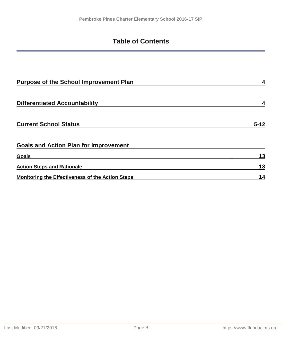# **Table of Contents**

| <b>Purpose of the School Improvement Plan</b>           |          |
|---------------------------------------------------------|----------|
| <b>Differentiated Accountability</b>                    |          |
| <b>Current School Status</b>                            | $5 - 12$ |
| <b>Goals and Action Plan for Improvement</b>            |          |
| <b>Goals</b>                                            | 13       |
| <b>Action Steps and Rationale</b>                       | 13       |
| <b>Monitoring the Effectiveness of the Action Steps</b> | 14       |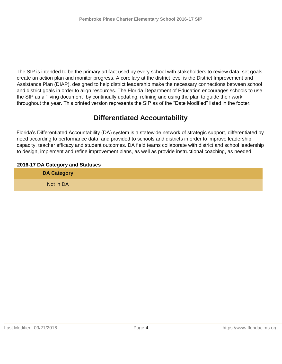The SIP is intended to be the primary artifact used by every school with stakeholders to review data, set goals, create an action plan and monitor progress. A corollary at the district level is the District Improvement and Assistance Plan (DIAP), designed to help district leadership make the necessary connections between school and district goals in order to align resources. The Florida Department of Education encourages schools to use the SIP as a "living document" by continually updating, refining and using the plan to guide their work throughout the year. This printed version represents the SIP as of the "Date Modified" listed in the footer.

# **Differentiated Accountability**

Florida's Differentiated Accountability (DA) system is a statewide network of strategic support, differentiated by need according to performance data, and provided to schools and districts in order to improve leadership capacity, teacher efficacy and student outcomes. DA field teams collaborate with district and school leadership to design, implement and refine improvement plans, as well as provide instructional coaching, as needed.

# **2016-17 DA Category and Statuses**

| ___<br>__<br><b>DA Category</b> |  |
|---------------------------------|--|
| Not in DA                       |  |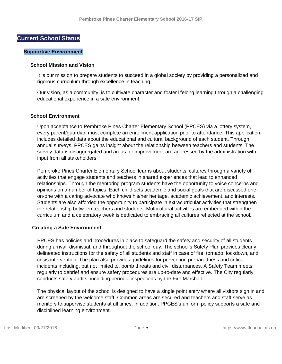#### **Current School Status**

#### **Supportive Environment**

#### **School Mission and Vision**

It is our mission to prepare students to succeed in a global society by providing a personalized and rigorous curriculum through excellence in teaching.

Our vision, as a community, is to cultivate character and foster lifelong learning through a challenging educational experience in a safe environment.

#### **School Environment**

Upon acceptance to Pembroke Pines Charter Elementary School (PPCES) via a lottery system, every parent/guardian must complete an enrollment application prior to attendance. This application includes detailed data about the educational and cultural background of each student. Through annual surveys, PPCES gains insight about the relationship between teachers and students. The survey data is disaggregated and areas for improvement are addressed by the administration with input from all stakeholders.

Pembroke Pines Charter Elementary School learns about students' cultures through a variety of activities that engage students and teachers in shared experiences that lead to enhanced relationships. Through the mentoring program students have the opportunity to voice concerns and opinions on a number of topics. Each child sets academic and social goals that are discussed oneon-one with a caring advocate who knows his/her heritage, academic achievement, and interests. Students are also afforded the opportunity to participate in extracurricular activities that strengthen the relationship between teachers and students. Multicultural activities are embedded within the curriculum and a celebratory week is dedicated to embracing all cultures reflected at the school.

#### **Creating a Safe Environment**

PPCES has policies and procedures in place to safeguard the safety and security of all students during arrival, dismissal, and throughout the school day. The school's Safety Plan provides clearly delineated instructions for the safety of all students and staff in case of fire, tornado, lockdown, and crisis intervention. The plan also provides guidelines for prevention preparedness and critical incidents including, but not limited to, bomb threats and civil disturbances. A Safety Team meets regularly to debrief and ensure safety procedures are up-to-date and effective. The City regularly conducts safety audits, including periodic inspections by the Fire Marshall.

The physical layout of the school is designed to have a single point entry where all visitors sign in and are screened by the welcome staff. Common areas are secured and teachers and staff serve as monitors to supervise students at all times. In addition, PPCES's uniform policy supports a safe and disciplined learning environment.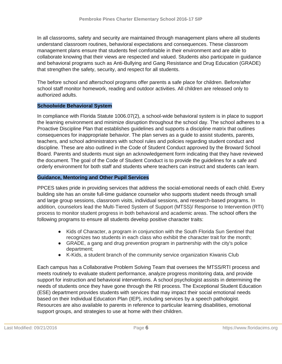In all classrooms, safety and security are maintained through management plans where all students understand classroom routines, behavioral expectations and consequences. These classroom management plans ensure that students feel comfortable in their environment and are able to collaborate knowing that their views are respected and valued. Students also participate in guidance and behavioral programs such as Anti-Bullying and Gang Resistance and Drug Education (GRADE) that strengthen the safety, security, and respect for all students.

The before school and afterschool programs offer parents a safe place for children. Before/after school staff monitor homework, reading and outdoor activities. All children are released only to authorized adults.

#### **Schoolwide Behavioral System**

In compliance with Florida Statute 1006.07(2), a school-wide behavioral system is in place to support the learning environment and minimize disruption throughout the school day. The school adheres to a Proactive Discipline Plan that establishes guidelines and supports a discipline matrix that outlines consequences for inappropriate behavior. The plan serves as a guide to assist students, parents, teachers, and school administrators with school rules and policies regarding student conduct and discipline. These are also outlined in the Code of Student Conduct approved by the Broward School Board. Parents and students must sign an acknowledgement form indicating that they have reviewed the document. The goal of the Code of Student Conduct is to provide the guidelines for a safe and orderly environment for both staff and students where teachers can instruct and students can learn.

#### **Guidance, Mentoring and Other Pupil Services**

PPCES takes pride in providing services that address the social-emotional needs of each child. Every building site has an onsite full-time guidance counselor who supports student needs through small and large group sessions, classroom visits, individual sessions, and research-based programs. In addition, counselors lead the Multi-Tiered System of Support (MTSS)/ Response to Intervention (RTI) process to monitor student progress in both behavioral and academic areas. The school offers the following programs to ensure all students develop positive character traits:

- Kids of Character, a program in conjunction with the South Florida Sun Sentinel that recognizes two students in each class who exhibit the character trait for the month;
- GRADE, a gang and drug prevention program in partnership with the city's police department;
- K-Kids, a student branch of the community service organization Kiwanis Club

Each campus has a Collaborative Problem Solving Team that oversees the MTSS/RTI process and meets routinely to evaluate student performance, analyze progress monitoring data, and provide support for instruction and behavioral interventions. A school psychologist assists in determining the needs of students once they have gone through the RtI process. The Exceptional Student Education (ESE) department provides students with services that may impact their social emotional needs based on their Individual Education Plan (IEP), including services by a speech pathologist. Resources are also available to parents in reference to particular learning disabilities, emotional support groups, and strategies to use at home with their children.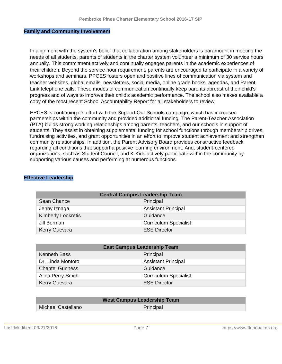#### **Family and Community Involvement**

In alignment with the system's belief that collaboration among stakeholders is paramount in meeting the needs of all students, parents of students in the charter system volunteer a minimum of 30 service hours annually. This commitment actively and continually engages parents in the academic experiences of their children. Beyond the service hour requirement, parents are encouraged to participate in a variety of workshops and seminars. PPCES fosters open and positive lines of communication via system and teacher websites, global emails, newsletters, social media, online grade books, agendas, and Parent Link telephone calls. These modes of communication continually keep parents abreast of their child's progress and of ways to improve their child's academic performance. The school also makes available a copy of the most recent School Accountability Report for all stakeholders to review.

PPCES is continuing it's effort with the Support Our Schools campaign, which has increased partnerships within the community and provided additional funding. The Parent-Teacher Association (PTA) builds strong working relationships among parents, teachers, and our schools in support of students. They assist in obtaining supplemental funding for school functions through membership drives, fundraising activities, and grant opportunities in an effort to improve student achievement and strengthen community relationships. In addition, the Parent Advisory Board provides constructive feedback regarding all conditions that support a positive learning environment. And, student-centered organizations, such as Student Council, and K-Kids actively participate within the community by supporting various causes and performing at numerous functions.

# **Effective Leadership**

| <b>Central Campus Leadership Team</b> |                              |  |  |
|---------------------------------------|------------------------------|--|--|
| Sean Chance                           | Principal                    |  |  |
| Jenny Iznaga                          | <b>Assistant Principal</b>   |  |  |
| <b>Kimberly Lookretis</b>             | Guidance                     |  |  |
| Jill Berman                           | <b>Curriculum Specialist</b> |  |  |
| <b>Kerry Guevara</b>                  | <b>ESE Director</b>          |  |  |

| <b>East Campus Leadership Team</b> |                              |  |  |
|------------------------------------|------------------------------|--|--|
| <b>Kenneth Bass</b>                | Principal                    |  |  |
| Dr. Linda Montoto                  | <b>Assistant Principal</b>   |  |  |
| <b>Chantel Gunness</b>             | Guidance                     |  |  |
| Alina Perry-Smith                  | <b>Curriculum Specialist</b> |  |  |
| <b>Kerry Guevara</b>               | <b>ESE Director</b>          |  |  |

| <b>West Campus Leadership Team</b> |  |  |
|------------------------------------|--|--|
| Michael Castellano<br>Principal    |  |  |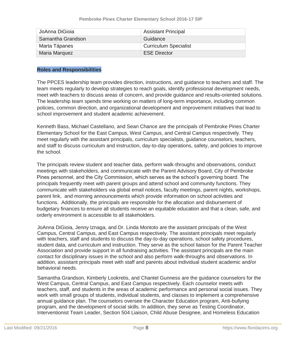| JoAnna DiGioia    | <b>Assistant Principal</b>   |
|-------------------|------------------------------|
| Samantha Grandson | Guidance                     |
| Marta Tápanes     | <b>Curriculum Specialist</b> |
| Maria Marquez     | <b>ESE Director</b>          |

#### **Roles and Responsibilities**

The PPCES leadership team provides direction, instructions, and guidance to teachers and staff. The team meets regularly to develop strategies to reach goals, identify professional development needs, meet with teachers to discuss areas of concern, and provide guidance and results-oriented solutions. The leadership team spends time working on matters of long-term importance, including common policies, common direction, and organizational development and improvement initiatives that lead to school improvement and student academic achievement.

Kenneth Bass, Michael Castellano, and Sean Chance are the principals of Pembroke Pines Charter Elementary School for the East Campus, West Campus, and Central Campus respectively. They meet regularly with the assistant principals, curriculum specialists, guidance counselors, teachers, and staff to discuss curriculum and instruction, day-to-day operations, safety, and policies to improve the school.

The principals review student and teacher data, perform walk-throughs and observations, conduct meetings with stakeholders, and communicate with the Parent Advisory Board, City of Pembroke Pines personnel, and the City Commission, which serves as the school's governing board. The principals frequently meet with parent groups and attend school and community functions. They communicate with stakeholders via global email notices, faculty meetings, parent nights, workshops, parent link, and morning announcements which provide information on school activities and functions. Additionally, the principals are responsible for the allocation and disbursement of budgetary finances to ensure all students receive an equitable education and that a clean, safe, and orderly environment is accessible to all stakeholders.

JoAnna DiGioia, Jenny Iznaga, and Dr. Linda Montoto are the assistant principals of the West Campus, Central Campus, and East Campus respectively. The assistant principals meet regularly with teachers, staff and students to discuss the day-to-day operations, school safety procedures, student data, and curriculum and instruction. They serve as the school liaison for the Parent Teacher Association and provide support in all fundraising activities. The assistant principals are the main contact for disciplinary issues in the school and also perform walk-throughs and observations. In addition, assistant principals meet with staff and parents about individual student academic and/or behavioral needs.

Samantha Grandson, Kimberly Lookretis, and Chantel Gunness are the guidance counselors for the West Campus, Central Campus, and East Campus respectively. Each counselor meets with teachers, staff, and students in the areas of academic performance and personal social issues. They work with small groups of students, individual students, and classes to implement a comprehensive annual guidance plan. The counselors oversee the Character Education program, Anti-bullying program, and the development of social skills. In addition, they serve as Testing Coordinator, Interventionist Team Leader, Section 504 Liaison, Child Abuse Designee, and Homeless Education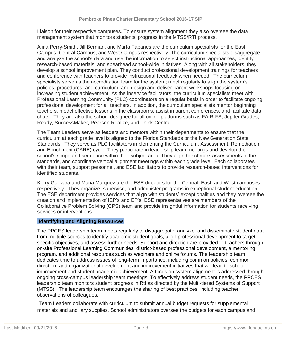Liaison for their respective campuses. To ensure system alignment they also oversee the data management system that monitors students' progress in the MTSS/RTI process.

Alina Perry-Smith, Jill Berman, and Marta Tápanes are the curriculum specialists for the East Campus, Central Campus, and West Campus respectively. The curriculum specialists disaggregate and analyze the school's data and use the information to select instructional approaches, identify research-based materials, and spearhead school-wide initiatives. Along with all stakeholders, they develop a school improvement plan. They conduct professional development trainings for teachers and conference with teachers to provide instructional feedback when needed. The curriculum specialists serve as the accreditation team for the system; meet regularly to align the system's policies, procedures, and curriculum; and design and deliver parent workshops focusing on increasing student achievement. As the inservice facilitators, the curriculum specialists meet with Professional Learning Community (PLC) coordinators on a regular basis in order to facilitate ongoing professional development for all teachers. In addition, the curriculum specialists mentor beginning teachers, model effective lessons in the classrooms, assist in parent conferences, and facilitate data chats. They are also the school designee for all online platforms such as FAIR-FS, Jupiter Grades, i-Ready, SuccessMaker, Pearson Realize, and Think Central.

The Team Leaders serve as leaders and mentors within their departments to ensure that the curriculum at each grade level is aligned to the Florida Standards or the New Generation State Standards. They serve as PLC facilitators implementing the Curriculum, Assessment, Remediation and Enrichment (CARE) cycle. They participate in leadership team meetings and develop the school's scope and sequence within their subject area. They align benchmark assessments to the standards, and coordinate vertical alignment meetings within each grade level. Each collaborates with their team, support personnel, and ESE facilitators to provide research-based interventions for identified students.

Kerry Guevara and Maria Marquez are the ESE directors for the Central, East, and West campuses respectively. They organize, supervise, and administer programs in exceptional student education. The ESE department provides services that align with students' exceptionalities and they oversee the creation and implementation of IEP's and EP's. ESE representatives are members of the Collaborative Problem Solving (CPS) team and provide insightful information for students receiving services or interventions.

#### **Identifying and Aligning Resources**

The PPCES leadership team meets regularly to disaggregate, analyze, and disseminate student data from multiple sources to identify academic student goals, align professional development to target specific objectives, and assess further needs. Support and direction are provided to teachers through on-site Professional Learning Communities, district-based professional development, a mentoring program, and additional resources such as webinars and online forums. The leadership team dedicates time to address issues of long-term importance, including common policies, common direction, and organizational development and improvement initiatives that will lead to school improvement and student academic achievement. A focus on system alignment is addressed through ongoing cross-campus leadership team meetings. To effectively address student needs, the PPCES leadership team monitors student progress in RtI as directed by the Multi-tiered Systems of Support (MTSS). The leadership team encourages the sharing of best practices, including teacher observations of colleagues.

Team Leaders collaborate with curriculum to submit annual budget requests for supplemental materials and ancillary supplies. School administrators oversee the budgets for each campus and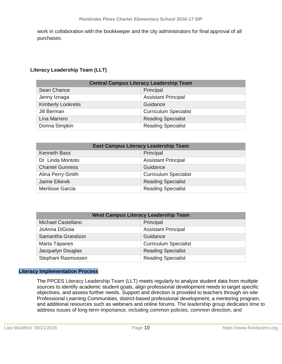work in collaboration with the bookkeeper and the city administrators for final approval of all purchases.

## **Literacy Leadership Team (LLT)**

| <b>Central Campus Literacy Leadership Team</b> |                              |  |  |
|------------------------------------------------|------------------------------|--|--|
| Sean Chance                                    | Principal                    |  |  |
| Jenny Iznaga                                   | <b>Assistant Principal</b>   |  |  |
| <b>Kimberly Lookretis</b>                      | Guidance                     |  |  |
| Jill Berman                                    | <b>Curriculum Specialist</b> |  |  |
| Lina Marrero                                   | <b>Reading Specialist</b>    |  |  |
| Donna Simpkin                                  | <b>Reading Specialist</b>    |  |  |

| <b>East Campus Literacy Leadership Team</b> |                              |  |  |
|---------------------------------------------|------------------------------|--|--|
| <b>Kenneth Bass</b>                         | Principal                    |  |  |
| Dr. Linda Montoto                           | <b>Assistant Principal</b>   |  |  |
| <b>Chantel Gunness</b>                      | Guidance                     |  |  |
| Alina Perry-Smith                           | <b>Curriculum Specialist</b> |  |  |
| Jaime Eikevik                               | <b>Reading Specialist</b>    |  |  |
| Merilisse Garcia                            | <b>Reading Specialist</b>    |  |  |

| <b>West Campus Literacy Leadership Team</b> |                              |  |  |
|---------------------------------------------|------------------------------|--|--|
| <b>Michael Castellano</b>                   | Principal                    |  |  |
| JoAnna DiGioia                              | <b>Assistant Principal</b>   |  |  |
| Samantha Grandson                           | Guidance                     |  |  |
| Marta Tápanes                               | <b>Curriculum Specialist</b> |  |  |
| Jacquelyn Douglas                           | <b>Reading Specialist</b>    |  |  |
| Stephani Rasmussen                          | <b>Reading Specialist</b>    |  |  |

#### **Literacy Implementation Process**

The PPCES Literacy Leadership Team (LLT) meets regularly to analyze student data from multiple sources to identify academic student goals, align professional development needs to target specific objectives, and assess further needs. Support and direction is provided to teachers through on-site Professional Learning Communities, district-based professional development, a mentoring program, and additional resources such as webinars and online forums. The leadership group dedicates time to address issues of long-term importance, including common policies, common direction, and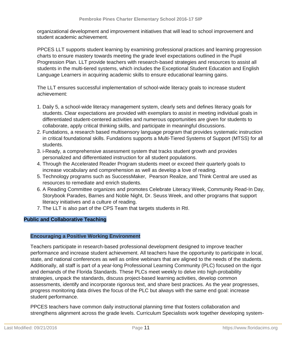organizational development and improvement initiatives that will lead to school improvement and student academic achievement.

PPCES LLT supports student learning by examining professional practices and learning progression charts to ensure mastery towards meeting the grade level expectations outlined in the Pupil Progression Plan. LLT provide teachers with research-based strategies and resources to assist all students in the multi-tiered systems, which includes the Exceptional Student Education and English Language Learners in acquiring academic skills to ensure educational learning gains.

The LLT ensures successful implementation of school-wide literacy goals to increase student achievement:

- 1. Daily 5, a school-wide literacy management system, clearly sets and defines literacy goals for students. Clear expectations are provided with exemplars to assist in meeting individual goals in differentiated student-centered activities and numerous opportunities are given for students to collaborate, apply critical thinking skills, and participate in meaningful discussions.
- 2. Fundations, a research based multisensory language program that provides systematic instruction in critical foundational skills. Fundations supports a Multi-Tiered Systems of Support (MTSS) for all students.
- 3. i-Ready, a comprehensive assessment system that tracks student growth and provides personalized and differentiated instruction for all student populations.
- 4. Through the Accelerated Reader Program students meet or exceed their quarterly goals to increase vocabulary and comprehension as well as develop a love of reading.
- 5. Technology programs such as SuccessMaker, Pearson Realize, and Think Central are used as resources to remediate and enrich students.
- 6. A Reading Committee organizes and promotes Celebrate Literacy Week, Community Read-In Day, Storybook Parades, Barnes and Noble Night, Dr. Seuss Week, and other programs that support literacy initiatives and a culture of reading.
- 7. The LLT is also part of the CPS Team that targets students in RtI.

## **Public and Collaborative Teaching**

## **Encouraging a Positive Working Environment**

Teachers participate in research-based professional development designed to improve teacher performance and increase student achievement. All teachers have the opportunity to participate in local, state, and national conferences as well as online webinars that are aligned to the needs of the students. Additionally, all staff is part of a year-long Professional Learning Community (PLC) focused on the rigor and demands of the Florida Standards. These PLCs meet weekly to delve into high-probability strategies, unpack the standards, discuss project-based learning activities, develop common assessments, identify and incorporate rigorous text, and share best practices. As the year progresses, progress monitoring data drives the focus of the PLC but always with the same end goal: increase student performance.

PPCES teachers have common daily instructional planning time that fosters collaboration and strengthens alignment across the grade levels. Curriculum Specialists work together developing system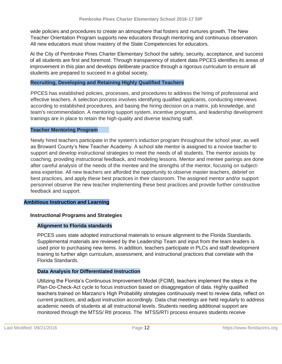wide policies and procedures to create an atmosphere that fosters and nurtures growth. The New Teacher Orientation Program supports new educators through mentoring and continuous observation. All new educators must show mastery of the State Competencies for educators.

At the City of Pembroke Pines Charter Elementary School the safety, security, acceptance, and success of all students are first and foremost. Through transparency of student data PPCES identifies its areas of improvement in this plan and develops deliberate practice through a rigorous curriculum to ensure all students are prepared to succeed in a global society.

#### **Recruiting, Developing and Retaining Highly Qualified Teachers**

PPCES has established policies, processes, and procedures to address the hiring of professional and effective teachers. A selection process involves identifying qualified applicants, conducting interviews according to established procedures, and basing the hiring decision on a matrix, job knowledge, and team's recommendation. A mentoring support system, incentive programs, and leadership development trainings are in place to retain the high-quality and diverse teaching staff.

#### **Teacher Mentoring Program**

Newly hired teachers participate in the system's induction program throughout the school year, as well as Broward County's New Teacher Academy. A school site mentor is assigned to a novice teacher to support and develop instructional strategies to meet the needs of all students. The mentor assists by coaching, providing instructional feedback, and modeling lessons. Mentor and mentee pairings are done after careful analysis of the needs of the mentee and the strengths of the mentor, focusing on subjectarea expertise. All new teachers are afforded the opportunity to observe master teachers, debrief on best practices, and apply these best practices in their classroom. The assigned mentor and/or support personnel observe the new teacher implementing these best practices and provide further constructive feedback and support.

#### **Ambitious Instruction and Learning**

## **Instructional Programs and Strategies**

## **Alignment to Florida standards**

PPCES uses state adopted instructional materials to ensure alignment to the Florida Standards. Supplemental materials are reviewed by the Leadership Team and input from the team leaders is used prior to purchasing new items. In addition, teachers participate in PLCs and staff development training to further align curriculum, assessment, and instructional practices that correlate with the Florida Standards.

## **Data Analysis for Differentiated Instruction**

Utilizing the Florida's Continuous Improvement Model (FCIM), teachers implement the steps in the Plan-Do-Check-Act cycle to focus instruction based on disaggregation of data. Highly qualified teachers trained on Marzano's High Probability strategies continuously meet to review data, reflect on current practices, and adjust instruction accordingly. Data chat meetings are held regularly to address academic needs of students at all instructional levels. Students needing additional support are monitored through the MTSS/ RtI process. The MTSS/RTI process ensures students receive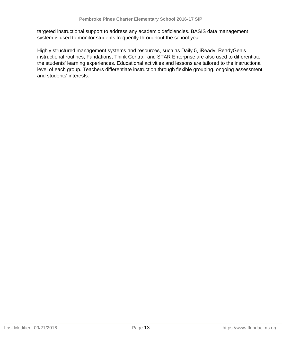targeted instructional support to address any academic deficiencies. BASIS data management system is used to monitor students frequently throughout the school year.

Highly structured management systems and resources, such as Daily 5, iReady, ReadyGen's instructional routines, Fundations, Think Central, and STAR Enterprise are also used to differentiate the students' learning experiences. Educational activities and lessons are tailored to the instructional level of each group. Teachers differentiate instruction through flexible grouping, ongoing assessment, and students' interests.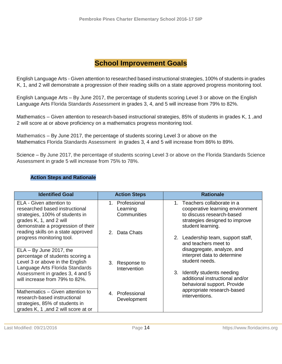# **School Improvement Goals**

English Language Arts - Given attention to researched based instructional strategies, 100% of students in grades K, 1, and 2 will demonstrate a progression of their reading skills on a state approved progress monitoring tool.

English Language Arts – By June 2017, the percentage of students scoring Level 3 or above on the English Language Arts Florida Standards Assessment in grades 3, 4, and 5 will increase from 79% to 82%.

Mathematics – Given attention to research-based instructional strategies, 85% of students in grades K, 1 ,and 2 will score at or above proficiency on a mathematics progress monitoring tool.

Mathematics – By June 2017, the percentage of students scoring Level 3 or above on the Mathematics Florida Standards Assessment in grades 3, 4 and 5 will increase from 86% to 89%.

Science – By June 2017, the percentage of students scoring Level 3 or above on the Florida Standards Science Assessment in grade 5 will increase from 75% to 78%.

#### **Action Steps and Rationale**

| <b>Identified Goal</b>                                                                                                                                         | <b>Action Steps</b>                           | <b>Rationale</b>                                                                                                                                     |
|----------------------------------------------------------------------------------------------------------------------------------------------------------------|-----------------------------------------------|------------------------------------------------------------------------------------------------------------------------------------------------------|
| ELA - Given attention to<br>researched based instructional<br>strategies, 100% of students in<br>grades K, 1, and 2 will<br>demonstrate a progression of their | Professional<br>1.<br>Learning<br>Communities | 1. Teachers collaborate in a<br>cooperative learning environment<br>to discuss research-based<br>strategies designed to improve<br>student learning. |
| reading skills on a state approved<br>progress monitoring tool.                                                                                                | Data Chats<br>$\mathcal{P}$                   | 2. Leadership team, support staff,<br>and teachers meet to                                                                                           |
| $ELA - By June 2017, the$<br>percentage of students scoring a<br>Level 3 or above in the English<br>Language Arts Florida Standards                            | Response to<br>3.                             | disaggregate, analyze, and<br>interpret data to determine<br>student needs.                                                                          |
| Assessment in grades 3, 4 and 5<br>will increase from 79% to 82%.                                                                                              | Intervention                                  | Identify students needing<br>3.<br>additional instructional and/or<br>behavioral support. Provide                                                    |
| Mathematics - Given attention to<br>research-based instructional<br>strategies, 85% of students in<br>grades K, 1, and 2 will score at or                      | 4. Professional<br>Development                | appropriate research-based<br>interventions.                                                                                                         |